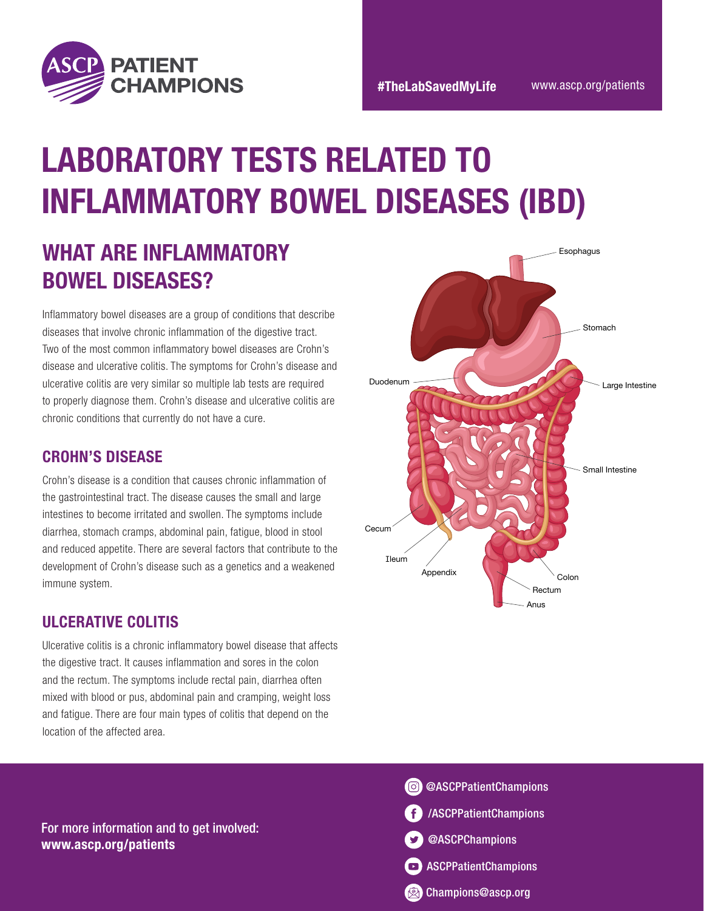

# LABORATORY TESTS RELATED TO INFLAMMATORY BOWEL DISEASES (IBD)

## WHAT ARE INFLAMMATORY BOWEL DISEASES?

Inflammatory bowel diseases are a group of conditions that describe diseases that involve chronic inflammation of the digestive tract. Two of the most common inflammatory bowel diseases are Crohn's disease and ulcerative colitis. The symptoms for Crohn's disease and ulcerative colitis are very similar so multiple lab tests are required to properly diagnose them. Crohn's disease and ulcerative colitis are chronic conditions that currently do not have a cure.

#### CROHN'S DISEASE

Crohn's disease is a condition that causes chronic inflammation of the gastrointestinal tract. The disease causes the small and large intestines to become irritated and swollen. The symptoms include diarrhea, stomach cramps, abdominal pain, fatigue, blood in stool and reduced appetite. There are several factors that contribute to the development of Crohn's disease such as a genetics and a weakened immune system.

### ULCERATIVE COLITIS

Ulcerative colitis is a chronic inflammatory bowel disease that affects the digestive tract. It causes inflammation and sores in the colon and the rectum. The symptoms include rectal pain, diarrhea often mixed with blood or pus, abdominal pain and cramping, weight loss and fatigue. There are four main types of colitis that depend on the location of the affected area.





For more information and to get involved: www.ascp.org/patients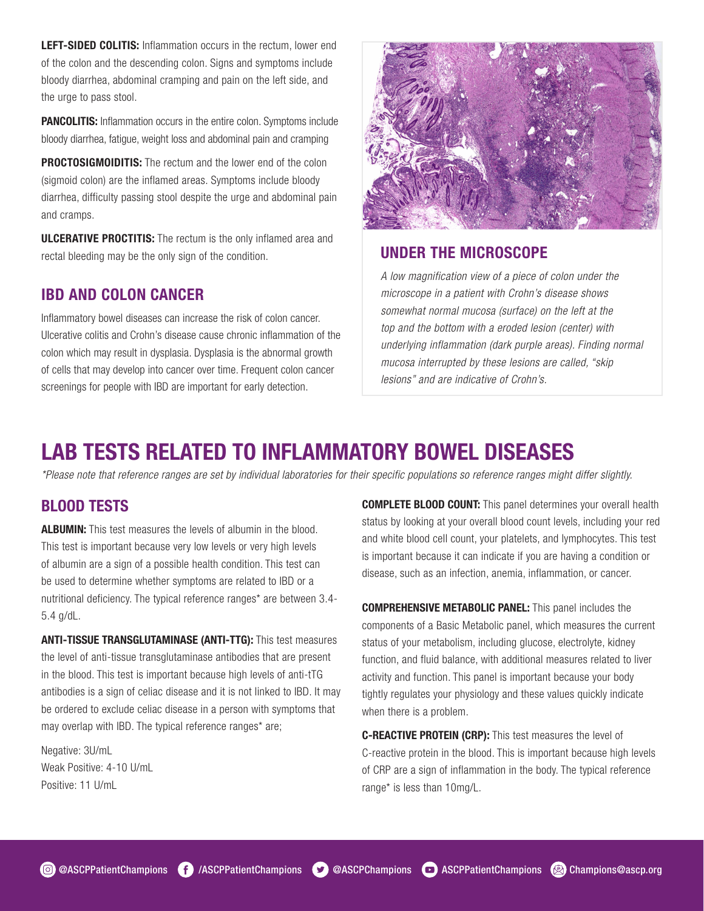LEFT-SIDED COLITIS: Inflammation occurs in the rectum, lower end of the colon and the descending colon. Signs and symptoms include bloody diarrhea, abdominal cramping and pain on the left side, and the urge to pass stool.

**PANCOLITIS:** Inflammation occurs in the entire colon. Symptoms include bloody diarrhea, fatigue, weight loss and abdominal pain and cramping

**PROCTOSIGMOIDITIS:** The rectum and the lower end of the colon (sigmoid colon) are the inflamed areas. Symptoms include bloody diarrhea, difficulty passing stool despite the urge and abdominal pain and cramps.

ULCERATIVE PROCTITIS: The rectum is the only inflamed area and rectal bleeding may be the only sign of the condition.

#### IBD AND COLON CANCER

Inflammatory bowel diseases can increase the risk of colon cancer. Ulcerative colitis and Crohn's disease cause chronic inflammation of the colon which may result in dysplasia. Dysplasia is the abnormal growth of cells that may develop into cancer over time. Frequent colon cancer screenings for people with IBD are important for early detection.



#### UNDER THE MICROSCOPE

*A low magnification view of a piece of colon under the microscope in a patient with Crohn's disease shows somewhat normal mucosa (surface) on the left at the top and the bottom with a eroded lesion (center) with underlying inflammation (dark purple areas). Finding normal mucosa interrupted by these lesions are called, "skip lesions" and are indicative of Crohn's.*

### LAB TESTS RELATED TO INFLAMMATORY BOWEL DISEASES

*\*Please note that reference ranges are set by individual laboratories for their specific populations so reference ranges might differ slightly.*

#### BLOOD TESTS

ALBUMIN: This test measures the levels of albumin in the blood. This test is important because very low levels or very high levels of albumin are a sign of a possible health condition. This test can be used to determine whether symptoms are related to IBD or a nutritional deficiency. The typical reference ranges\* are between 3.4- 5.4 g/dL.

ANTI-TISSUE TRANSGLUTAMINASE (ANTI-TTG): This test measures the level of anti-tissue transglutaminase antibodies that are present in the blood. This test is important because high levels of anti-tTG antibodies is a sign of celiac disease and it is not linked to IBD. It may be ordered to exclude celiac disease in a person with symptoms that may overlap with IBD. The typical reference ranges\* are;

Negative: 3U/mL Weak Positive: 4-10 U/mL Positive: 11 U/mL

**COMPLETE BLOOD COUNT:** This panel determines your overall health status by looking at your overall blood count levels, including your red and white blood cell count, your platelets, and lymphocytes. This test is important because it can indicate if you are having a condition or disease, such as an infection, anemia, inflammation, or cancer.

COMPREHENSIVE METABOLIC PANEL: This panel includes the components of a Basic Metabolic panel, which measures the current status of your metabolism, including glucose, electrolyte, kidney function, and fluid balance, with additional measures related to liver activity and function. This panel is important because your body tightly regulates your physiology and these values quickly indicate when there is a problem.

C-REACTIVE PROTEIN (CRP): This test measures the level of C-reactive protein in the blood. This is important because high levels of CRP are a sign of inflammation in the body. The typical reference range\* is less than 10mg/L.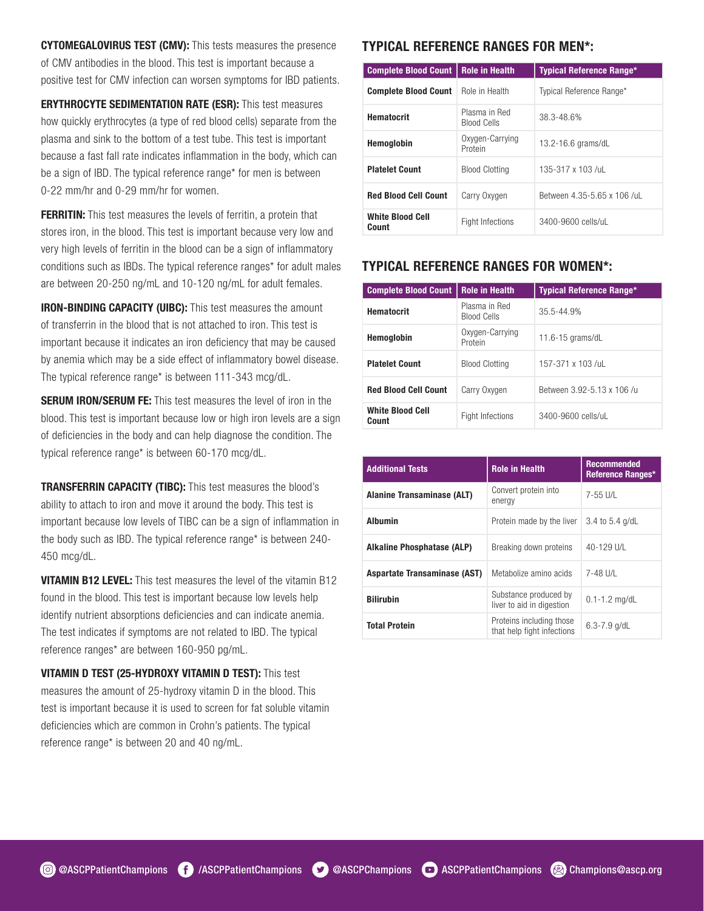CYTOMEGALOVIRUS TEST (CMV): This tests measures the presence of CMV antibodies in the blood. This test is important because a positive test for CMV infection can worsen symptoms for IBD patients.

ERYTHROCYTE SEDIMENTATION RATE (ESR): This test measures how quickly erythrocytes (a type of red blood cells) separate from the plasma and sink to the bottom of a test tube. This test is important because a fast fall rate indicates inflammation in the body, which can be a sign of IBD. The typical reference range\* for men is between 0-22 mm/hr and 0-29 mm/hr for women.

**FERRITIN:** This test measures the levels of ferritin, a protein that stores iron, in the blood. This test is important because very low and very high levels of ferritin in the blood can be a sign of inflammatory conditions such as IBDs. The typical reference ranges\* for adult males are between 20-250 ng/mL and 10-120 ng/mL for adult females.

IRON-BINDING CAPACITY (UIBC): This test measures the amount of transferrin in the blood that is not attached to iron. This test is important because it indicates an iron deficiency that may be caused by anemia which may be a side effect of inflammatory bowel disease. The typical reference range\* is between 111-343 mcg/dL.

**SERUM IRON/SERUM FE:** This test measures the level of iron in the blood. This test is important because low or high iron levels are a sign of deficiencies in the body and can help diagnose the condition. The typical reference range\* is between 60-170 mcg/dL.

TRANSFERRIN CAPACITY (TIBC): This test measures the blood's ability to attach to iron and move it around the body. This test is important because low levels of TIBC can be a sign of inflammation in the body such as IBD. The typical reference range\* is between 240- 450 mcg/dL.

VITAMIN B12 LEVEL: This test measures the level of the vitamin B12 found in the blood. This test is important because low levels help identify nutrient absorptions deficiencies and can indicate anemia. The test indicates if symptoms are not related to IBD. The typical reference ranges\* are between 160-950 pg/mL.

VITAMIN D TEST (25-HYDROXY VITAMIN D TEST): This test measures the amount of 25-hydroxy vitamin D in the blood. This test is important because it is used to screen for fat soluble vitamin deficiencies which are common in Crohn's patients. The typical reference range\* is between 20 and 40 ng/mL.

#### TYPICAL REFERENCE RANGES FOR MEN\*:

| <b>Complete Blood Count</b>      | <b>Role in Health</b>               | <b>Typical Reference Range*</b> |  |
|----------------------------------|-------------------------------------|---------------------------------|--|
| <b>Complete Blood Count</b>      | Role in Health                      | Typical Reference Range*        |  |
| <b>Hematocrit</b>                | Plasma in Red<br><b>Blood Cells</b> | 38.3-48.6%                      |  |
| Hemoglobin                       | Oxygen-Carrying<br>Protein          | 13.2-16.6 grams/dL              |  |
| <b>Platelet Count</b>            | <b>Blood Clotting</b>               | 135-317 x 103 /uL               |  |
| <b>Red Blood Cell Count</b>      | Carry Oxygen                        | Between 4.35-5.65 x 106 /uL     |  |
| <b>White Blood Cell</b><br>Count | Fight Infections                    | 3400-9600 cells/uL              |  |

#### TYPICAL REFERENCE RANGES FOR WOMEN\*:

| <b>Complete Blood Count</b>      | <b>Role in Health</b>               | <b>Typical Reference Range*</b> |  |
|----------------------------------|-------------------------------------|---------------------------------|--|
| <b>Hematocrit</b>                | Plasma in Red<br><b>Blood Cells</b> | 35.5-44.9%                      |  |
| <b>Hemoglobin</b>                | Oxygen-Carrying<br>Protein          | 11.6-15 $q$ rams/dL             |  |
| <b>Platelet Count</b>            | <b>Blood Clotting</b>               | 157-371 x 103 /ul               |  |
| <b>Red Blood Cell Count</b>      | Carry Oxygen                        | Between 3.92-5.13 x 106 /u      |  |
| <b>White Blood Cell</b><br>Count | <b>Fight Infections</b>             | 3400-9600 cells/uL              |  |

| <b>Additional Tests</b>             | <b>Role in Health</b>                                  | <b>Recommended</b><br>Reference Ranges* |
|-------------------------------------|--------------------------------------------------------|-----------------------------------------|
| <b>Alanine Transaminase (ALT)</b>   | Convert protein into<br>energy                         | 7-55 U/L                                |
| <b>Albumin</b>                      | Protein made by the liver                              | 3.4 to 5.4 g/dL                         |
| <b>Alkaline Phosphatase (ALP)</b>   | Breaking down proteins                                 | 40-129 U/L                              |
| <b>Aspartate Transaminase (AST)</b> | Metabolize amino acids                                 | 7-48 U/L                                |
| <b>Bilirubin</b>                    | Substance produced by<br>liver to aid in digestion     | $0.1 - 1.2$ mg/dL                       |
| <b>Total Protein</b>                | Proteins including those<br>that help fight infections | $6.3 - 7.9$ g/dL                        |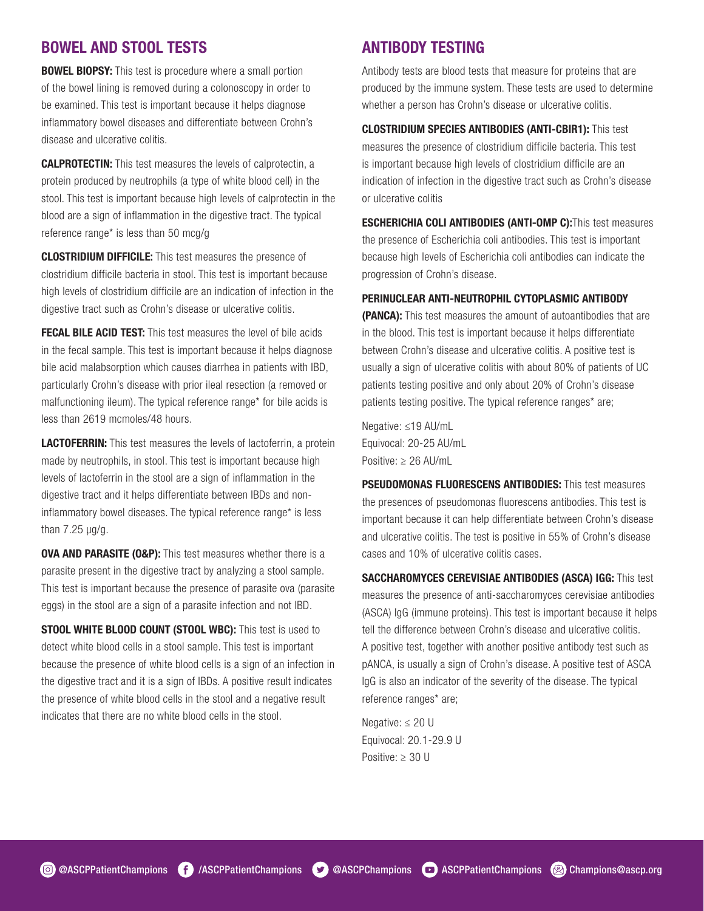#### BOWEL AND STOOL TESTS

**BOWEL BIOPSY:** This test is procedure where a small portion of the bowel lining is removed during a colonoscopy in order to be examined. This test is important because it helps diagnose inflammatory bowel diseases and differentiate between Crohn's disease and ulcerative colitis.

CALPROTECTIN: This test measures the levels of calprotectin, a protein produced by neutrophils (a type of white blood cell) in the stool. This test is important because high levels of calprotectin in the blood are a sign of inflammation in the digestive tract. The typical reference range\* is less than 50 mcg/g

CLOSTRIDIUM DIFFICILE: This test measures the presence of clostridium difficile bacteria in stool. This test is important because high levels of clostridium difficile are an indication of infection in the digestive tract such as Crohn's disease or ulcerative colitis.

**FECAL BILE ACID TEST:** This test measures the level of bile acids in the fecal sample. This test is important because it helps diagnose bile acid malabsorption which causes diarrhea in patients with IBD, particularly Crohn's disease with prior ileal resection (a removed or malfunctioning ileum). The typical reference range\* for bile acids is less than 2619 mcmoles/48 hours.

**LACTOFERRIN:** This test measures the levels of lactoferrin, a protein made by neutrophils, in stool. This test is important because high levels of lactoferrin in the stool are a sign of inflammation in the digestive tract and it helps differentiate between IBDs and noninflammatory bowel diseases. The typical reference range\* is less than 7.25 µg/g.

**OVA AND PARASITE (O&P):** This test measures whether there is a parasite present in the digestive tract by analyzing a stool sample. This test is important because the presence of parasite ova (parasite eggs) in the stool are a sign of a parasite infection and not IBD.

STOOL WHITE BLOOD COUNT (STOOL WBC): This test is used to detect white blood cells in a stool sample. This test is important because the presence of white blood cells is a sign of an infection in the digestive tract and it is a sign of IBDs. A positive result indicates the presence of white blood cells in the stool and a negative result indicates that there are no white blood cells in the stool.

#### ANTIBODY TESTING

Antibody tests are blood tests that measure for proteins that are produced by the immune system. These tests are used to determine whether a person has Crohn's disease or ulcerative colitis.

CLOSTRIDIUM SPECIES ANTIBODIES (ANTI-CBIR1): This test measures the presence of clostridium difficile bacteria. This test is important because high levels of clostridium difficile are an indication of infection in the digestive tract such as Crohn's disease or ulcerative colitis

ESCHERICHIA COLI ANTIBODIES (ANTI-OMP C):This test measures the presence of Escherichia coli antibodies. This test is important because high levels of Escherichia coli antibodies can indicate the progression of Crohn's disease.

#### PERINUCLEAR ANTI-NEUTROPHIL CYTOPLASMIC ANTIBODY

(PANCA): This test measures the amount of autoantibodies that are in the blood. This test is important because it helps differentiate between Crohn's disease and ulcerative colitis. A positive test is usually a sign of ulcerative colitis with about 80% of patients of UC patients testing positive and only about 20% of Crohn's disease patients testing positive. The typical reference ranges\* are;

Negative: ≤19 AU/mL Equivocal: 20-25 AU/mL Positive: ≥ 26 AU/mL

PSEUDOMONAS FLUORESCENS ANTIBODIES: This test measures the presences of pseudomonas fluorescens antibodies. This test is important because it can help differentiate between Crohn's disease and ulcerative colitis. The test is positive in 55% of Crohn's disease cases and 10% of ulcerative colitis cases.

SACCHAROMYCES CEREVISIAE ANTIBODIES (ASCA) IGG: This test measures the presence of anti-saccharomyces cerevisiae antibodies (ASCA) IgG (immune proteins). This test is important because it helps tell the difference between Crohn's disease and ulcerative colitis. A positive test, together with another positive antibody test such as pANCA, is usually a sign of Crohn's disease. A positive test of ASCA IgG is also an indicator of the severity of the disease. The typical reference ranges\* are;

Negative: ≤ 20 U Equivocal: 20.1-29.9 U Positive: ≥ 30 U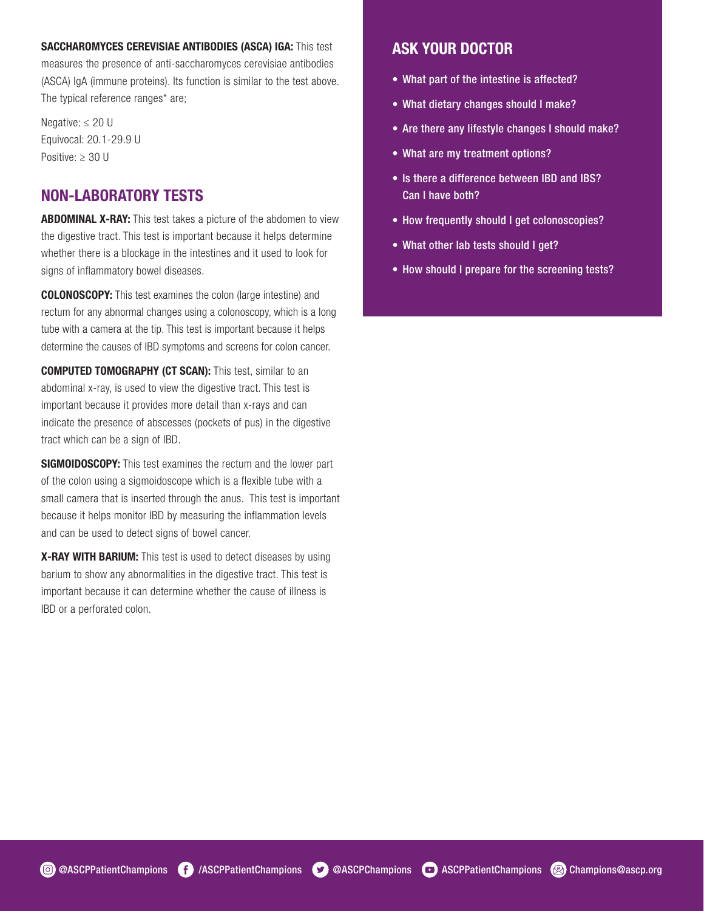#### SACCHAROMYCES CEREVISIAE ANTIBODIES (ASCA) IGA: This test

measures the presence of anti-saccharomyces cerevisiae antibodies (ASCA) IgA (immune proteins). Its function is similar to the test above. The typical reference ranges\* are;

Negative: ≤ 20 U Equivocal: 20.1-29.9 U Positive: ≥ 30 U

#### NON-LABORATORY TESTS

**ABDOMINAL X-RAY:** This test takes a picture of the abdomen to view the digestive tract. This test is important because it helps determine whether there is a blockage in the intestines and it used to look for signs of inflammatory bowel diseases.

COLONOSCOPY: This test examines the colon (large intestine) and rectum for any abnormal changes using a colonoscopy, which is a long tube with a camera at the tip. This test is important because it helps determine the causes of IBD symptoms and screens for colon cancer.

COMPUTED TOMOGRAPHY (CT SCAN): This test, similar to an abdominal x-ray, is used to view the digestive tract. This test is important because it provides more detail than x-rays and can indicate the presence of abscesses (pockets of pus) in the digestive tract which can be a sign of IBD.

SIGMOIDOSCOPY: This test examines the rectum and the lower part of the colon using a sigmoidoscope which is a flexible tube with a small camera that is inserted through the anus. This test is important because it helps monitor IBD by measuring the inflammation levels and can be used to detect signs of bowel cancer.

X-RAY WITH BARIUM: This test is used to detect diseases by using barium to show any abnormalities in the digestive tract. This test is important because it can determine whether the cause of illness is IBD or a perforated colon.

#### ASK YOUR DOCTOR

- What part of the intestine is affected?
- What dietary changes should I make?
- Are there any lifestyle changes I should make?
- What are my treatment options?
- Is there a difference between IBD and IBS? Can I have both?
- How frequently should I get colonoscopies?
- What other lab tests should I get?
- How should I prepare for the screening tests?